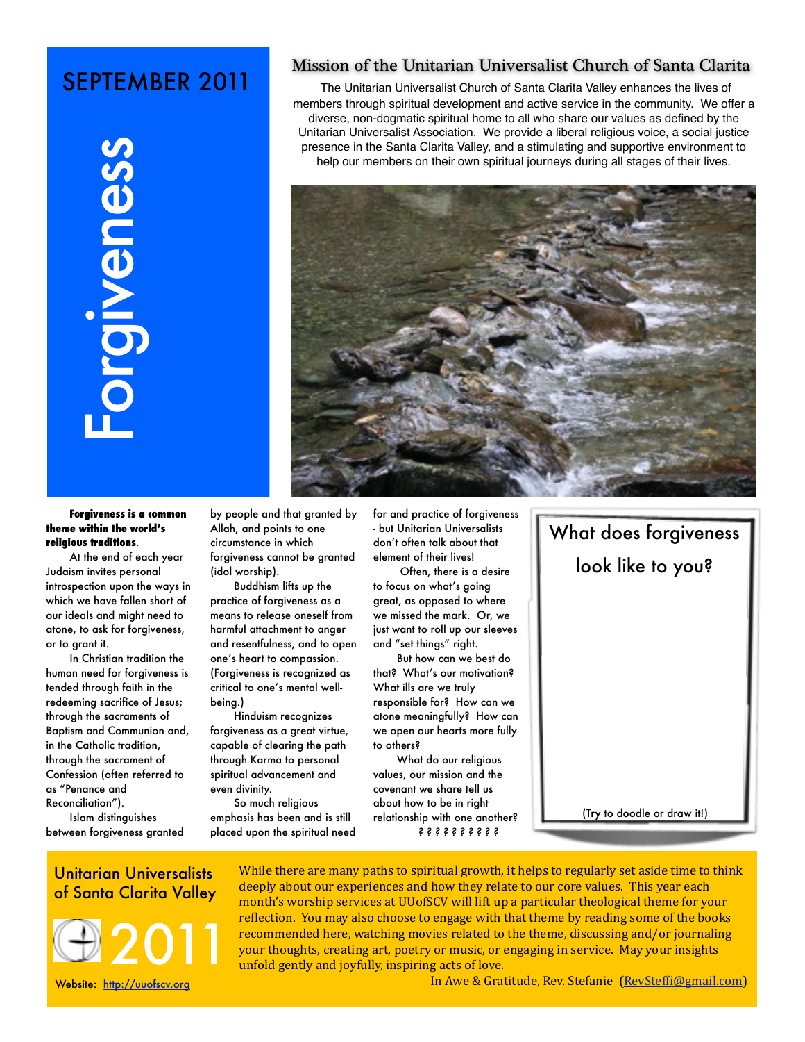## SEPTEMBER 2011



#### Mission of the Unitarian Universalist Church of Santa Clarita

The Unitarian Universalist Church of Santa Clarita Valley enhances the lives of members through spiritual development and active service in the community. We offer a diverse, non-dogmatic spiritual home to all who share our values as defined by the Unitarian Universalist Association. We provide a liberal religious voice, a social justice presence in the Santa Clarita Valley, and a stimulating and supportive environment to help our members on their own spiritual journeys during all stages of their lives.



#### **Forgiveness is a common theme within the world's religious traditions**.

At the end of each year Judaism invites personal introspection upon the ways in which we have fallen short of our ideals and might need to atone, to ask for forgiveness, or to grant it.

In Christian tradition the human need for forgiveness is tended through faith in the redeeming sacrifice of Jesus; through the sacraments of Baptism and Communion and, in the Catholic tradition, through the sacrament of Confession (often referred to as "Penance and Reconciliation").

Islam distinguishes between forgiveness granted by people and that granted by Allah, and points to one circumstance in which forgiveness cannot be granted (idol worship).

Buddhism lifts up the practice of forgiveness as a means to release oneself from harmful attachment to anger and resentfulness, and to open one's heart to compassion. (Forgiveness is recognized as critical to one's mental wellbeing.)

Hinduism recognizes forgiveness as a great virtue, capable of clearing the path through Karma to personal spiritual advancement and even divinity.

So much religious emphasis has been and is still placed upon the spiritual need for and practice of forgiveness - but Unitarian Universalists don't often talk about that element of their lives!

 Often, there is a desire to focus on what's going great, as opposed to where we missed the mark. Or, we just want to roll up our sleeves and "set things" right.

But how can we best do that? What's our motivation? What ills are we truly responsible for? How can we atone meaningfully? How can we open our hearts more fully to others?

What do our religious values, our mission and the covenant we share tell us about how to be in right relationship with one another? *? ? ? ? ? ? ? ? ? ?*



(Try to doodle or draw it!)

# Unitarian Universalists



While there are many paths to spiritual growth, it helps to regularly set aside time to think deeply about our experiences and how they relate to our core values. This year each month's worship services at UUofSCV will lift up a particular theological theme for your reflection. You may also choose to engage with that theme by reading some of the books recommended here, watching movies related to the theme, discussing and/or journaling your thoughts, creating art, poetry or music, or engaging in service. May your insights unfold gently and joyfully, inspiring acts of love.

In Awe & Gratitude, Rev. Stefanie (RevSteffi@gmail.com)